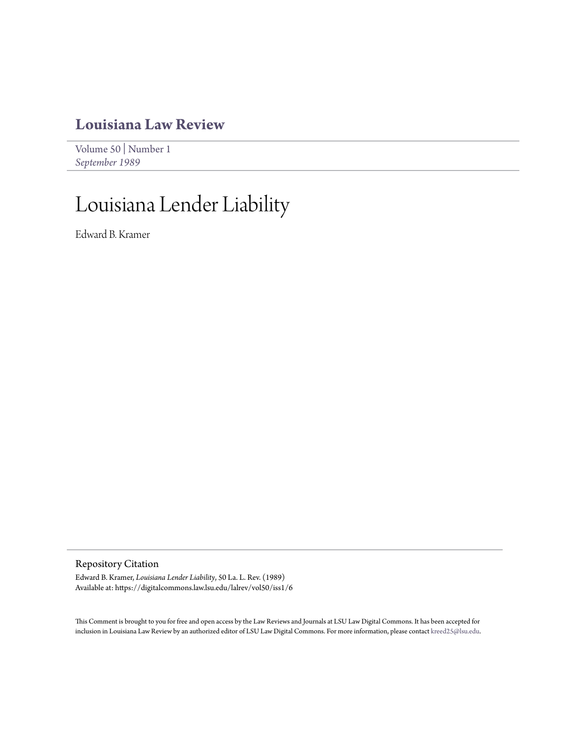# **[Louisiana Law Review](https://digitalcommons.law.lsu.edu/lalrev)**

[Volume 50](https://digitalcommons.law.lsu.edu/lalrev/vol50) | [Number 1](https://digitalcommons.law.lsu.edu/lalrev/vol50/iss1) *[September 1989](https://digitalcommons.law.lsu.edu/lalrev/vol50/iss1)*

# Louisiana Lender Liability

Edward B. Kramer

Repository Citation

Edward B. Kramer, *Louisiana Lender Liability*, 50 La. L. Rev. (1989) Available at: https://digitalcommons.law.lsu.edu/lalrev/vol50/iss1/6

This Comment is brought to you for free and open access by the Law Reviews and Journals at LSU Law Digital Commons. It has been accepted for inclusion in Louisiana Law Review by an authorized editor of LSU Law Digital Commons. For more information, please contact [kreed25@lsu.edu](mailto:kreed25@lsu.edu).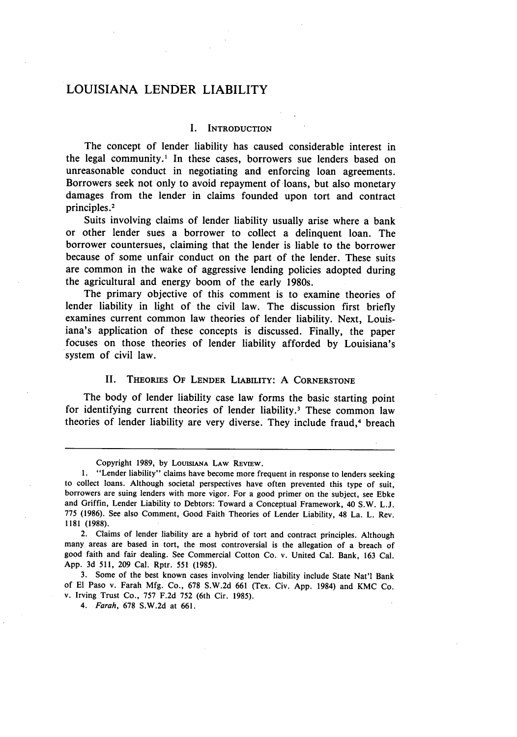# **LOUISIANA** LENDER LIABILITY

#### I. **INTRODUCTION**

The concept of lender liability has caused considerable interest in the legal community.' In these cases, borrowers sue lenders based on unreasonable conduct in negotiating and enforcing loan agreements. Borrowers seek not only to avoid repayment of loans, but also monetary damages from the lender in claims founded upon tort and contract principles.<sup>2</sup>

Suits involving claims of lender liability usually arise where a bank or other lender sues a borrower to collect a delinquent loan. The borrower countersues, claiming that the lender is liable to the borrower because of some unfair conduct on the part of the lender. These suits are common in the wake of aggressive lending policies adopted during the agricultural and energy boom of the early 1980s.

The primary objective of this comment is to examine theories of lender liability in light of the civil law. The discussion first briefly examines current common law theories of lender liability. Next, Louisiana's application of these concepts is discussed. Finally, the paper focuses on those theories of lender liability afforded **by** Louisiana's system of civil law.

#### II. THEORIES OF LENDER LIABILITY: A CORNERSTONE

The body of lender liability case law forms the basic starting point for identifying current theories of lender liability.<sup>3</sup> These common law theories of lender liability are very diverse. They include fraud,<sup>4</sup> breach

3. Some of the best known cases involving lender liability include State Nat'l Bank of El Paso v. Farah Mfg. Co., 678 S.W.2d 661 (Tex. Civ. App. 1984) and KMC Co. v. Irving Trust Co., 757 F.2d 752 (6th Cir. 1985).

*4. Farah,* 678 S.W.2d at 661.

Copyright **1989, by LOUISIANA** LAW **REVIEW.**

<sup>1. &</sup>quot;Lender liability" claims have become more frequent in response to lenders seeking to collect loans. Although societal perspectives have often prevented this type of suit, borrowers are suing lenders with more vigor. For a good primer on the subject, see Ebke and Griffin, Lender Liability to Debtors: Toward a Conceptual Framework, 40 S.W. L.J. 775 (1986). See also Comment, Good Faith Theories of Lender Liability, 48 La. L. Rev. 1181 (1988).

<sup>2.</sup> Claims of lender liability are a hybrid of tort and contract principles. Although many areas are based in tort, the most controversial is the allegation of a breach of good faith and fair dealing. See Commercial Cotton Co. v. United Cal. Bank, **163** Cal. App. 3d 511, 209 Cal. Rptr. 551 (1985).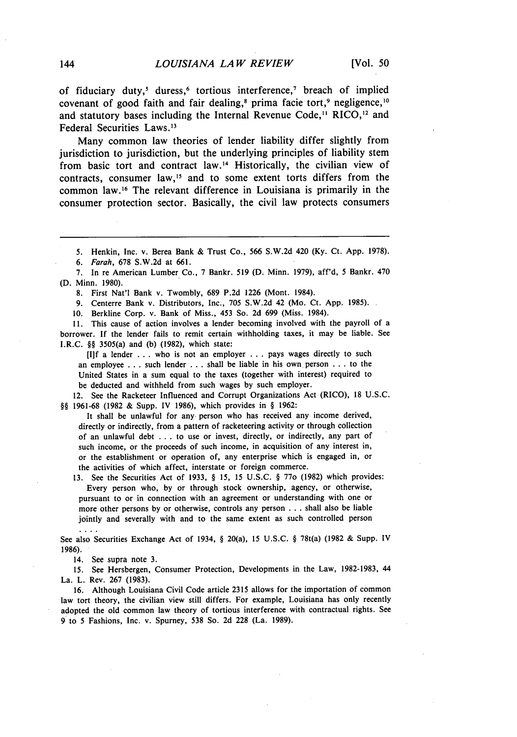of fiduciary duty,' duress, 6 tortious interference, 7 breach of implied covenant of good faith and fair dealing,<sup>8</sup> prima facie tort,<sup>9</sup> negligence,<sup>10</sup> and statutory bases including the Internal Revenue Code,<sup>11</sup> RICO,<sup>12</sup> and Federal Securities Laws.<sup>13</sup>

Many common law theories of lender liability differ slightly from jurisdiction to jurisdiction, but the underlying principles of liability stem from basic tort and contract law. 14 Historically, the civilian view of contracts, consumer law,'5 and to some extent torts differs from the common law.<sup>16</sup> The relevant difference in Louisiana is primarily in the consumer protection sector. Basically, the civil law protects consumers

**5.** Henkin, Inc. v. Berea Bank & Trust Co., 566 S.W.2d 420 (Ky. Ct. App. 1978).

*6. Farah,* 678 S.W.2d at 661.

7. In re American Lumber Co., 7 Bankr. 519 (D. Minn. 1979), aff'd, 5 Bankr. 470 (D. Minn. 1980).

8. First Nat'l Bank v. Twombly, 689 P.2d 1226 (Mont. 1984).

9. Centerre Bank v. Distributors, Inc., 705 S.W.2d 42 (Mo. Ct. App. 1985).

10. Berkline Corp. v. Bank of Miss., 453 So. 2d 699 (Miss. 1984).

**11.** This cause of action involves a lender becoming involved with the payroll of a borrower. If the lender fails to remit certain withholding taxes, it may be liable. See I.R.C. §§ 3505(a) and (b) (1982), which state:

**[I]f** a lender ... who is not an employer ... pays wages directly to such an employee . . . such lender . . . shall be liable in his own person . . . to the United States in a sum equal to the taxes (together with interest) required to be deducted and withheld from such wages by such employer.

12. See the Racketeer Influenced and Corrupt Organizations Act (RICO), 18 U.S.C. §§ 1961-68 (1982 & Supp. IV 1986), which provides in § 1962:

It shall be unlawful for any person who has received any income derived, directly or indirectly, from a pattern of racketeering activity or through collection of an unlawful debt . . . to use or invest, directly, or indirectly, any part of such income, or the proceeds of such income, in acquisition of any interest in, or the establishment or operation of, any enterprise which is engaged in, or the activities of which affect, interstate or foreign commerce.

13. See the Securities Act of 1933, § 15, 15 U.S.C. § 770 (1982) which provides: Every person who, by or through stock ownership, agency, or otherwise, pursuant to or in connection with an agreement or understanding with one or more other persons by or otherwise, controls any person . . . shall also be liable jointly and severally with and to the same extent as such controlled person

See also Securities Exchange Act of 1934, § 20(a), 15 U.S.C. § 78t(a) (1982 & Supp. IV 1986).

14. See supra note 3.

15. See Hersbergen, Consumer Protection, Developments in the Law, 1982-1983, 44 La. L. Rev. 267 (1983).

16. Although Louisiana Civil Code article 2315 allows for the importation of common law tort theory, the civilian view still differs. For example, Louisiana has only recently adopted the old common law theory of tortious interference with contractual rights. See 9 to 5 Fashions, Inc. v. Spurney, 538 So. 2d 228 (La. 1989).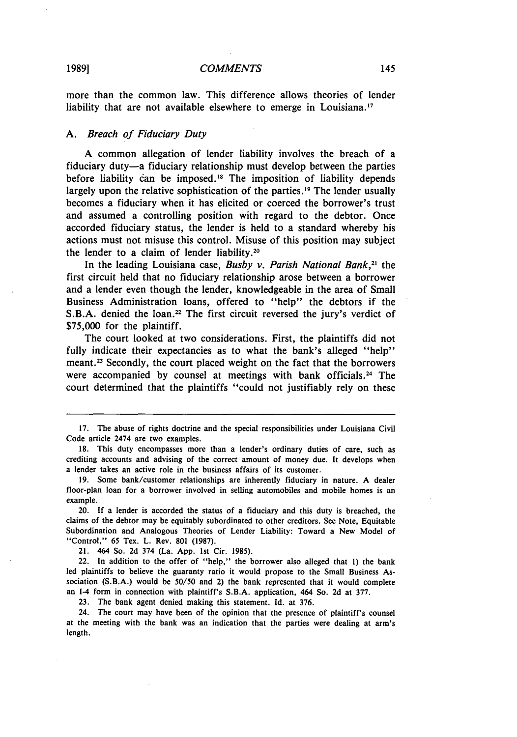more than the common law. This difference allows theories of lender liability that are not available elsewhere to emerge in Louisiana. **<sup>17</sup>**

## *A.* Breach of *Fiduciary Duty*

**A** common allegation of lender liability involves the breach of a fiduciary duty-a fiduciary relationship must develop between the parties before liability **can** be imposed."8 The imposition of liability depends largely upon the relative sophistication of the parties.<sup>19</sup> The lender usually becomes a fiduciary when it has elicited or coerced the borrower's trust and assumed a controlling position with regard to the debtor. Once accorded fiduciary status, the lender is held to a standard whereby his actions must not misuse this control. Misuse of this position may subject the lender to a claim of lender liability.20

In the leading Louisiana case, *Busby v. Parish National Bank,21* the first circuit held that no fiduciary relationship arose between a borrower and a lender even though the lender, knowledgeable in the area of Small Business Administration loans, offered to "help" the debtors if the S.B.A. denied the loan.<sup>22</sup> The first circuit reversed the jury's verdict of **\$75,000** for the plaintiff.

The court looked at two considerations. First, the plaintiffs did not fully indicate their expectancies as to what the bank's alleged "help" meant.<sup>23</sup> Secondly, the court placed weight on the fact that the borrowers were accompanied by counsel at meetings with bank officials.<sup>24</sup> The court determined that the plaintiffs "could not justifiably rely on these

21. 464 So. 2d 374 (La. App. 1st Cir. 1985).

22. In addition to the offer of "help," the borrower also alleged that **1)** the bank led plaintiffs to believe the guaranty ratio it would propose to the Small Business Association **(S.B.A.)** would be 50/50 and 2) the bank represented that it would complete an **1-4** form in connection with plaintiff's S.B.A. application, 464 So. 2d at 377.

23. The bank agent denied making this statement. Id. at 376.

24. The court may have been of the opinion that the presence of plaintiff's counsel at the meeting with the bank was an indication that the parties were dealing at arm's length.

<sup>17.</sup> The abuse of rights doctrine and the special responsibilities under Louisiana Civil Code article 2474 are two examples.

**<sup>18.</sup>** This duty encompasses more than a lender's ordinary duties of care, such as crediting accounts and advising of the correct amount of money due. It develops when a lender takes an active role in the business affairs of its customer.

<sup>19.</sup> Some bank/customer relationships are inherently fiduciary in nature. A dealer floor-plan loan for a borrower involved in selling automobiles and mobile homes is an example.

<sup>20.</sup> If a lender is accorded the status of a fiduciary and this duty is breached, the claims of the debtor may be equitably subordinated to other creditors. See Note, Equitable Subordination and Analogous Theories of Lender Liability: Toward a New Model of "Control," 65 Tex. L. Rev. 801 (1987).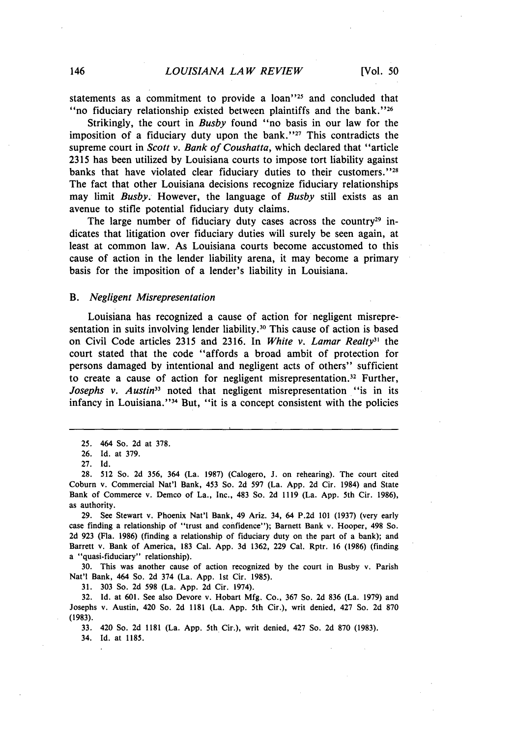statements as a commitment to provide a  $\alpha$  loan<sup> $125$ </sup> and concluded that " no fiduciary relationship existed between plaintiffs and the bank."  $26$ 

Strikingly, the court in *Busby* found "no basis in our law for the imposition of a fiduciary duty upon the bank.<sup>''27</sup> This contradicts the supreme court in *Scott v. Bank of Coushatta,* which declared that "article 2315 has been utilized by Louisiana courts to impose tort liability against banks that have violated clear fiduciary duties to their customers."<sup>28</sup> The fact that other Louisiana decisions recognize fiduciary relationships may limit *Busby.* However, the language of *Busby* still exists as an avenue to stifle potential fiduciary duty claims.

The large number of fiduciary duty cases across the country<sup>29</sup> indicates that litigation over fiduciary duties will surely be seen again, at least at common law. As Louisiana courts become accustomed to this cause of action in the lender liability arena, it may become a primary basis for the imposition of a lender's liability in Louisiana.

#### *B. Negligent Misrepresentation*

Louisiana has recognized a cause of action for negligent misrepresentation in suits involving lender liability.<sup>30</sup> This cause of action is based on Civil Code articles 2315 and 2316. In *White v. Lamar Realty*<sup>31</sup> the court stated that the code "affords a broad ambit of protection for persons damaged by intentional and negligent acts of others" sufficient to create a cause of action for negligent misrepresentation.<sup>32</sup> Further, *Josephs v. Austin*<sup>33</sup> noted that negligent misrepresentation "is in its infancy in Louisiana."<sup>34</sup> But, "it is a concept consistent with the policies

29. See Stewart v. Phoenix Nat'l Bank, 49 Ariz. 34, 64 P.2d 101 (1937) (very early case finding a relationship of "trust and confidence"); Barnett Bank v. Hooper, 498 So. 2d 923 (Fla. 1986) (finding a relationship of fiduciary duty on the part of a bank); and Barrett v. Bank of America, 183 Cal. App. 3d 1362, 229 Cal. Rptr. 16 (1986) (finding a "quasi-fiduciary" relationship).

30. This was another cause of action recognized by the court in Busby v. Parish Nat'l Bank, 464 So. 2d 374 (La. App. 1st Cir. 1985).

31. 303 So. 2d 598 (La. App. 2d Cir. 1974).

32. Id. at 601. See also Devore v. Hobart Mfg. Co., 367 So. 2d 836 (La. 1979) and Josephs v. Austin, 420 So. 2d 1181 (La. App. 5th Cir.), writ denied, 427 So. 2d 870 (1983).

33. 420 So. 2d 1181 (La. App. 5th Cir.), writ denied, 427 So. 2d 870 (1983).

34. Id. at 1185.

<sup>25. 464</sup> So. 2d at 378.

<sup>26.</sup> Id. at 379.

<sup>27.</sup> Id.

<sup>28.</sup> 512 So. 2d 356, 364 (La. 1987) (Calogero, J. on rehearing). The court cited Coburn v. Commercial Nat'l Bank, 453 So. 2d 597 (La. App. 2d Cir. 1984) and State Bank of Commerce v. Demco of La., Inc., 483 So. 2d 1119 (La. App. 5th Cir. 1986), as authority.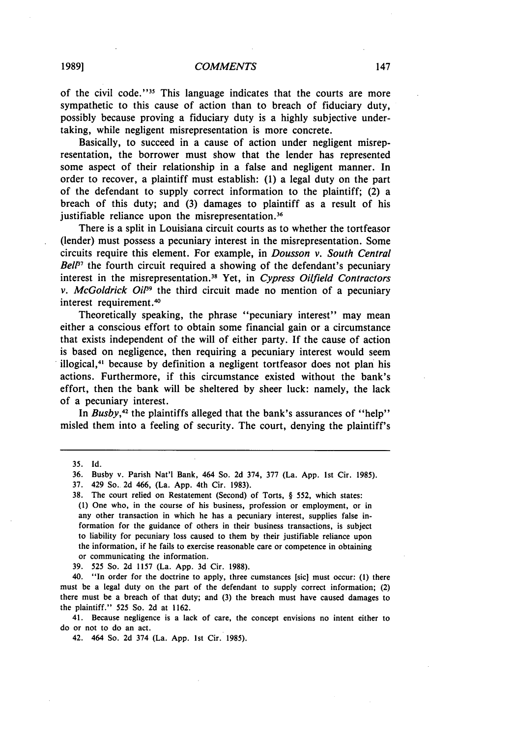#### *COMMENTS*

of the civil code."<sup>35</sup> This language indicates that the courts are more sympathetic to this cause of action than to breach of fiduciary duty, possibly because proving a fiduciary duty is a **highly** subjective undertaking, while negligent misrepresentation is more concrete.

Basically, to succeed in a cause of action under negligent misrepresentation, the borrower must show that the lender has represented some aspect of their relationship in a false and negligent manner. In order to recover, a plaintiff must establish: **(1)** a legal duty on the part of the defendant to supply correct information to the plaintiff; (2) a breach of this duty; and **(3)** damages to plaintiff as a result of his justifiable reliance upon the misrepresentation.<sup>36</sup>

There is a split in Louisiana circuit courts as to whether the tortfeasor (lender) must possess a pecuniary interest in the misrepresentation. Some circuits require this element. For example, in *Dousson v. South Central Bell*<sup>7</sup> the fourth circuit required a showing of the defendant's pecuniary interest in the misrepresentation. <sup>3</sup> 1 Yet, in *Cypress* Oilfield Contractors *v.* McGoldrick *Oi9* the third circuit made no mention of a pecuniary interest requirement.<sup>40</sup>

Theoretically speaking, the phrase "pecuniary interest" may mean either a conscious effort to obtain some financial gain or a circumstance that exists independent of the will of either party. If the cause of action is based on negligence, then requiring a pecuniary interest would seem illogical, 41 because **by** definition a negligent tortfeasor does not plan his actions. Furthermore, if this circumstance existed without the bank's effort, then the bank will be sheltered **by** sheer luck: namely, the lack of a pecuniary interest.

In *Busby*,<sup>42</sup> the plaintiffs alleged that the bank's assurances of "help" misled them into a feeling of security. The court, denying the plaintiff's

**1989]**

**<sup>35.</sup> Id.**

**<sup>36.</sup>** Busby v. Parish Nat'l Bank, 464 So. **2d** 374, **377** (La. **App. 1st** Cir. **1985).**

**<sup>37.</sup>** 429 So. **2d** 466, (La. **App.** 4th Cir. **1983).**

**<sup>38.</sup>** The court relied on Restatement (Second) of Torts, **§ 552,** which states: **(1)** One who, in the course of his business, profession or employment, or in any other transaction in which he has a pecuniary interest, supplies false information for the guidance of others in their business transactions, is subject to liability for pecuniary loss caused to them **by** their justifiable reliance upon the information, if he fails to exercise reasonable care or competence in obtaining or communicating the information.

**<sup>39. 525</sup>** So. **2d 1157** (La. **App. 3d** Cir. **1988).**

<sup>40. &</sup>quot;In order for the doctrine to apply, three cumstances [sic] must occur: **(1)** there must be a legal duty on the part of the defendant to supply correct information; (2) there must be a breach of that duty; and **(3)** the breach must have caused damages to the plaintiff." **525** So. **2d** at **1162.**

<sup>41.</sup> Because negligence is a lack of care, the concept envisions no intent either to do or not to do an act.

<sup>42. 464</sup> So. **2d** 374 (La. **App. 1st** Cir. **1985).**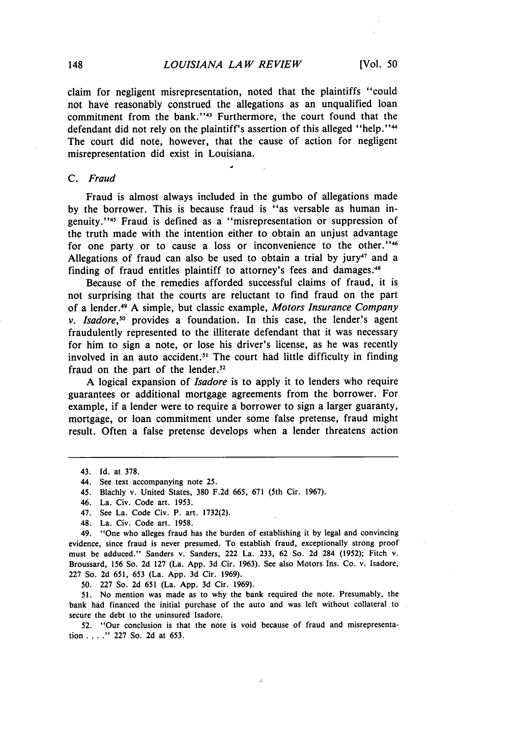claim for negligent misrepresentation, noted that the plaintiffs "could not have reasonably construed the allegations as an unqualified loan commitment from the bank."<sup>43</sup> Furthermore, the court found that the defendant did not rely on the plaintiff's assertion of this alleged "help."<sup>44</sup> The court did note, however, that the cause of action for negligent misrepresentation did exist in Louisiana.

### *C. Fraud*

Fraud is almost always included in the gumbo of allegations made by the borrower. This is because fraud is "as versable as human ingenuity."<sup>45</sup> Fraud is defined as a "misrepresentation or suppression of the truth made with the intention either to obtain an unjust advantage for one party or to cause a loss or inconvenience to the other."<sup>46</sup> Allegations of fraud can also be used to obtain a trial by jury<sup>47</sup> and a finding of fraud entitles plaintiff to attorney's fees and damages. <sup>48</sup>

Because of the remedies afforded successful claims of fraud, it is not surprising that the courts are reluctant to find fraud on the part of a lender.<sup>4</sup> 9 A simple, but classic example, *Motors Insurance Company v. Isadore*,<sup>50</sup> provides a foundation. In this case, the lender's agent fraudulently represented to the illiterate defendant that it was necessary for him to sign a note, or lose his driver's license, as he was recently involved in an auto accident.<sup>51</sup> The court had little difficulty in finding fraud on the part of the lender. $52$ 

A logical expansion of *Isadore* is to apply it to lenders who require guarantees or additional mortgage agreements from the borrower. For example, if a lender were to require a borrower to sign a larger guaranty, mortgage, or loan commitment under some false pretense, fraud might result. Often a false pretense develops when a lender threatens action

48. La. Civ. Code art. 1958.

49. "One who alleges fraud has the burden of establishing it by legal and convincing evidence, since fraud is never presumed. To establish fraud, exceptionally strong proof must be adduced." Sanders v. Sanders, 222 La. 233, 62 So. 2d 284 (1952); Fitch v. Broussard, 156 So. 2d 127 (La. App. 3d Cir. 1963). See also Motors Ins. Co. v. Isadore, 227 So. 2d 651, 653 (La. App. 3d Cir. 1969).

50. 227 So. 2d 651 (La. App. 3d Cir. 1969).

**51.** No mention was made as to why the bank required the note. Presumably, the bank had financed the initial purchase of the auto and was left without collateral to secure the debt to the uninsured Isadore.

52. "Our conclusion is that the note is void because of fraud and misrepresentation **.... "** 227 So. 2d at 653.

<sup>43.</sup> Id. at 378.

<sup>44.</sup> See text accompanying note 25.

<sup>45.</sup> Blachly v. United States, 380 F.2d 665, 671 (5th Cir. 1967).

<sup>46.</sup> La. Civ. Code art. 1953.

<sup>47.</sup> See La. Code Civ. P. art. 1732(2).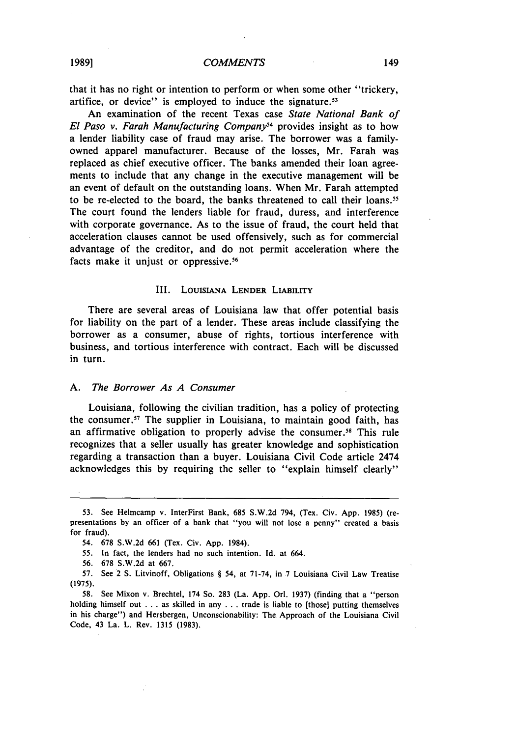that it has no right or intention to perform or when some other "trickery, artifice, or device" is employed to induce the signature.<sup>53</sup>

An examination of the recent Texas case *State National Bank of El Paso v. Farah Manufacturing Company<sup>54</sup> provides insight as to how* a lender liability case of fraud may arise. The borrower was a familyowned apparel manufacturer. Because of the losses, Mr. Farah was replaced as chief executive officer. The banks amended their loan agreements to include that any change in the executive management will be an event of default on the outstanding loans. When Mr. Farah attempted to be re-elected to the board, the banks threatened to call their loans." The court found the lenders liable for fraud, duress, and interference with corporate governance. As to the issue of fraud, the court held that acceleration clauses cannot be used offensively, such as for commercial advantage of the creditor, and do not permit acceleration where the facts make it unjust or oppressive.<sup>56</sup>

#### III. LOUISANA **LENDER LIABILITY**

There are several areas of Louisiana law that offer potential basis for liability on the part of a lender. These areas include classifying the borrower as a consumer, abuse of rights, tortious interference with business, and tortious interference with contract. Each will be discussed in turn.

#### *A. The Borrower As A* Consumer

Louisiana, following the civilian tradition, has a policy of protecting the consumer. 7 The supplier in Louisiana, to maintain good faith, has an affirmative obligation to properly advise the consumer.<sup>58</sup> This rule recognizes that a seller usually has greater knowledge and sophistication regarding a transaction than a buyer. Louisiana Civil Code article 2474 acknowledges this by requiring the seller to "explain himself clearly"

<sup>53.</sup> See Helmcamp v. InterFirst Bank, 685 S.W.2d 794, (Tex. Civ. App. 1985) (representations by an officer of a bank that "you will not lose a penny" created a basis for fraud).

<sup>54. 678</sup> S.W.2d 661 (Tex. Civ. App. 1984).

<sup>55.</sup> In fact, the lenders had no such intention. Id. at 664.

<sup>56. 678</sup> S.W.2d at 667.

<sup>57.</sup> See 2 S. Litvinoff, Obligations § 54, at 71-74, in 7 Louisiana Civil Law Treatise (1975).

<sup>58.</sup> See Mixon v. Brechtel, 174 So. 283 (La. App. Orl. 1937) (finding that a "person holding himself out . . . as skilled in any . . . trade is liable to [those] putting themselves in his charge") and Hersbergen, Unconscionability: The. Approach of the Louisiana Civil Code, 43 La. L. Rev. 1315 (1983).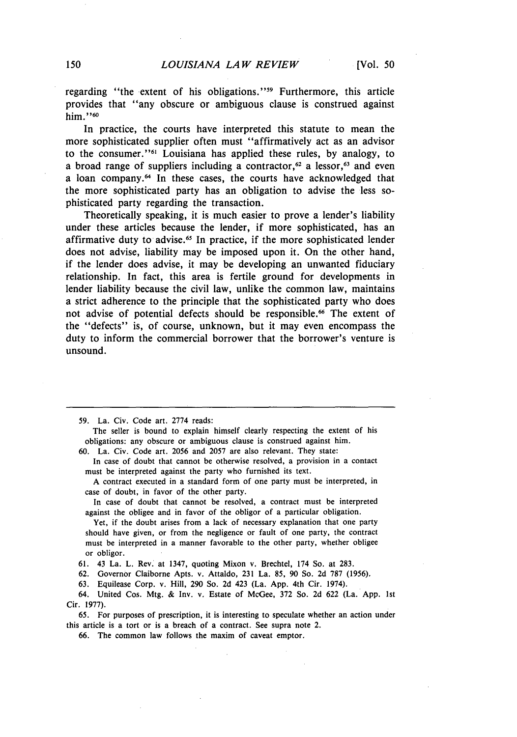regarding "the extent of his obligations."<sup>59</sup> Furthermore, this article provides that "any obscure or ambiguous clause is construed against him."60

In practice, the courts have interpreted this statute to mean the more sophisticated supplier often must "affirmatively act as an advisor to the consumer."<sup>61</sup> Louisiana has applied these rules, by analogy, to a broad range of suppliers including a contractor,<sup> $62$ </sup> a lessor,<sup> $63$ </sup> and even a loan company.<sup>64</sup> In these cases, the courts have acknowledged that the more sophisticated party has an obligation to advise the less sophisticated party regarding the transaction.

Theoretically speaking, it is much easier to prove a lender's liability under these articles because the lender, if more sophisticated, has an affirmative duty to advise.<sup>65</sup> In practice, if the more sophisticated lender does not advise, liability may be imposed upon it. On the other hand, if the lender does advise, it may be developing an unwanted fiduciary relationship. In fact, this area is fertile ground for developments in lender liability because the civil law, unlike the common law, maintains a strict adherence to the principle that the sophisticated party who does not advise of potential defects should be responsible.<sup>66</sup> The extent of the "defects" is, of course, unknown, but it may even encompass the duty to inform the commercial borrower that the borrower's venture is unsound.

The seller is bound to explain himself clearly respecting the extent of his obligations: any obscure or ambiguous clause is construed against him.

60. La. Civ. Code art. 2056 and 2057 are also relevant. They state:

In case of doubt that cannot be otherwise resolved, a provision in a contact must be interpreted against the party who furnished its text.

A contract executed in a standard form of one party must be interpreted, in case of doubt, in favor of the other party.

In case of doubt that cannot be resolved, a contract must be interpreted against the obligee and in favor of the obligor of a particular obligation.

Yet, if the doubt arises from a lack of necessary explanation that one party should have given, or from the negligence or fault of one party, the contract must be interpreted in a manner favorable to the other party, whether obligee or obligor.

61. 43 La. L. Rev. at 1347, quoting Mixon v. Brechtel, 174 So. at 283.

62. Governor Claiborne Apts. v. Attaldo, 231 La. *85,* 90 So. 2d 787 (1956),

63. Equilease Corp. v. Hill, 290 So. 2d 423 (La. App. 4th Cir. 1974).

64. United Cos. Mtg. & Inv. v. Estate of McGee, 372 So. 2d 622 (La. App. 1st Cir. 1977).

65. For purposes of prescription, it is interesting to speculate whether an action under this article is a tort or is a breach of a contract. See supra note 2.

66. The common law follows the maxim of caveat emptor.

<sup>59.</sup> La. Civ. Code art. 2774 reads: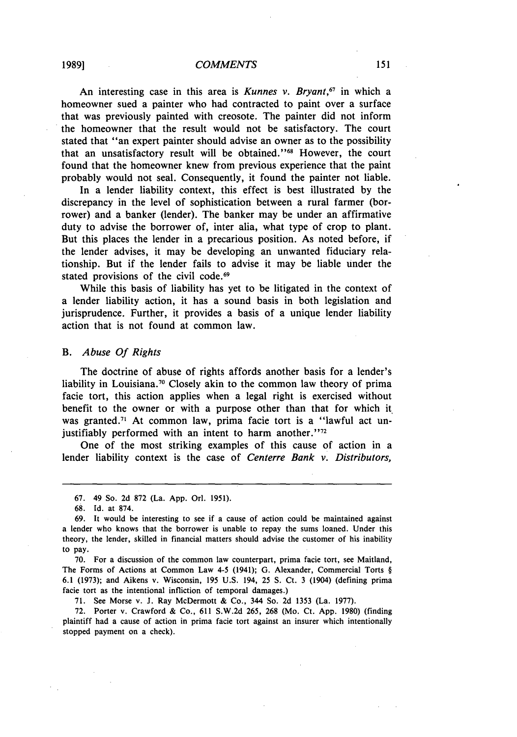An interesting case in this area is *Kunnes v. Bryant*,<sup>67</sup> in which a homeowner sued a painter who had contracted to paint over a surface that was previously painted with creosote. The painter did not inform the homeowner that the result would not be satisfactory. The court stated that "an expert painter should advise an owner as to the possibility that an unsatisfactory result will be obtained."<sup>68</sup> However, the court found that the homeowner knew from previous experience that the paint probably would not seal. Consequently, it found the painter not liable.

In a lender liability context, this effect is best illustrated by the discrepancy in the level of sophistication between a rural farmer (borrower) and a banker (lender). The banker may be under an affirmative duty to advise the borrower of, inter alia, what type of crop to plant. But this places the lender in a precarious position. As noted before, if the lender advises, it may be developing an unwanted fiduciary relationship. But if the lender fails to advise it may be liable under the stated provisions of the civil code.<sup>69</sup>

While this basis of liability has yet to be litigated in the context of a lender liability action, it has a sound basis in both legislation and jurisprudence. Further, it provides a basis of a unique lender liability action that is not found at common law.

#### *B. Abuse Of Rights*

The doctrine of abuse of rights affords another basis for a lender's liability in Louisiana.<sup>70</sup> Closely akin to the common law theory of prima facie tort, this action applies when a legal right is exercised without benefit to the owner or with a purpose other than that for which it was granted.<sup>71</sup> At common law, prima facie tort is a "lawful act unjustifiably performed with an intent to harm another." $72$ 

One of the most striking examples of this cause of action in a lender liability context is the case of *Centerre Bank v. Distributors,*

68. Id. at 874.

70. For a discussion of the common law counterpart, prima facie tort, see Maitland, The Forms of Actions at Common Law 4-5 (1941); G. Alexander, Commercial Torts § 6.1 (1973); and Aikens v. Wisconsin, 195 U.S. 194, **25 S.** Ct. 3 (1904) (defining prima facie tort as the intentional infliction of temporal damages.)

71. See Morse v. J. Ray McDermott & Co., 344 So. 2d 1353 (La. 1977).

72. Porter v. Crawford & Co., 611 S.W.2d 265, 268 (Mo. Ct. App. 1980) (finding plaintiff had a cause of action in prima facie tort against an insurer which intentionally stopped payment on a check).

<sup>67. 49</sup> So. 2d 872 (La. App. Orl. 1951).

<sup>69.</sup> It would be interesting to see if a cause of action could be maintained against a lender who knows that the borrower is unable to repay the sums loaned. Under this theory, the lender, skilled in financial matters should advise the customer of his inability to pay.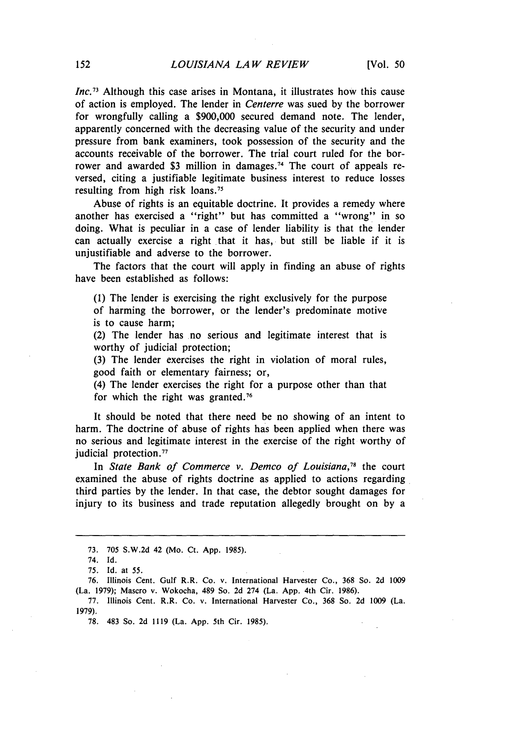*Inc.73* Although this case arises in Montana, it illustrates how this cause of action is employed. The lender in *Centerre* was sued by the borrower for wrongfully calling a \$900,000 secured demand note. The lender, apparently concerned with the decreasing value of the security and under pressure from bank examiners, took possession of the security and the accounts receivable of the borrower. The trial court ruled for the borrower and awarded \$3 million in damages. 74 The court of appeals reversed, citing a justifiable legitimate business interest to reduce losses resulting from high risk loans. <sup>75</sup>

Abuse of rights is an equitable doctrine. It provides a remedy where another has exercised a "right" but has committed a "wrong" in so doing. What is peculiar in a case of lender liability is that the lender can actually exercise a right that it has, but still be liable if it is unjustifiable and adverse to the borrower.

The factors that the court will apply in finding an abuse of rights have been established as follows:

(1) The lender is exercising the right exclusively for the purpose of harming the borrower, or the lender's predominate motive is to cause harm;

(2) The lender has no serious and legitimate interest that is worthy of judicial protection;

(3) The lender exercises the right in violation of moral rules, good faith or elementary fairness; or,

(4) The lender exercises the right for a purpose other than that for which the right was granted.<sup>76</sup>

It should be noted that there need be no showing of an intent to harm. The doctrine of abuse of rights has been applied when there was no serious and legitimate interest in the exercise of the right worthy of judicial protection.<sup>77</sup>

In *State Bank of Commerce v. Demco of Louisiana*,<sup>78</sup> the court examined the abuse of rights doctrine as applied to actions regarding third parties by the lender. In that case, the debtor sought damages for injury to its business and trade reputation allegedly brought on by a

76. Illinois Cent. Gulf R.R. Co. v. International Harvester Co., 368 So. 2d **1009** (La. 1979); Mascro v. Wokocha, 489 So. 2d 274 (La. App. 4th Cir. 1986).

77. Illinois Cent. R.R. Co. v. International Harvester Co., 368 So. 2d **1009** (La. 1979).

78. 483 So. 2d 1119 (La. App. 5th Cir. 1985).

**<sup>73.</sup>** 705 S.W.2d 42 (Mo. Ct. App. 1985).

<sup>74.</sup> Id.

<sup>75.</sup> Id. at 55.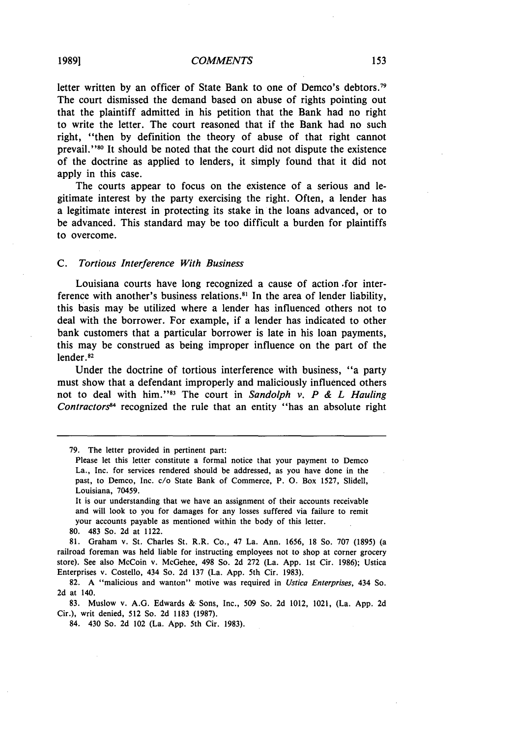#### *COMMENTS*

letter written **by** an officer of State Bank to one of Demco's debtors. <sup>79</sup> The court dismissed the demand based on abuse of rights pointing out that the plaintiff admitted in his petition that the Bank had no right to write the letter. The court reasoned that if the Bank had no such right, "then **by** definition the theory of abuse of that right cannot prevail.''80 It should be noted that the court did not dispute the existence of the doctrine as applied to lenders, it simply found that it did not apply in this case.

The courts appear to focus on the existence of a serious and legitimate interest **by** the party exercising the right. Often, a lender has a legitimate interest in protecting its stake in the loans advanced, or to be advanced. This standard may be too difficult a burden for plaintiffs to overcome.

#### *C. Tortious Interference With Business*

Louisiana courts have long recognized a cause of action .for interference with another's business relations.<sup>81</sup> In the area of lender liability, this basis may **be** utilized where a lender has influenced others not to deal with the borrower. For example, if a lender has indicated to other bank customers that a particular borrower is late in his loan payments, this may be construed as being improper influence on the part of the lender.<sup>82</sup>

Under the doctrine of tortious interference with business, "a party must show that a defendant improperly and maliciously influenced others not to deal with him.""3 The court in *Sandoiph v. P & L Hauling Contractors"* recognized the rule that an entity "has an absolute right

It is our understanding that we have an assignment of their accounts receivable and will look to you for damages for any losses suffered via failure to remit your accounts payable as mentioned within the body of this letter.

**81.** Graham v. St. Charles St. R.R. Co., 47 La. Ann. **1656, 18** So. **707 (1895)** (a railroad foreman was held liable for instructing employees not to shop at corner grocery store). See also McCoin v. McGehee, 498 So. **2d 272** (La. **App. 1st** Cir. **1986);** Ustica Enterprises v. Costello, 434 So. **2d 137** (La. **App.** 5th Cir. **1983).**

**82. A** "malicious and wanton" motive was required in *Ustica Enterprises,* 434 So. **2d** at 140.

**83.** Muslow v. **A.G.** Edwards **&** Sons, Inc., **509** So. **2d** 1012, 1021, (La. **App. 2d** Cir.), writ denied, **512** So. **2d 1183 (1987).**

84. 430 So. **2d** 102 (La. **App.** 5th Cir. **1983).**

**<sup>79.</sup>** The letter provided in pertinent part:

Please let this letter constitute a formal notice that your payment to Demco La., Inc. for services rendered should be addressed, as you have done in the past, to Demco, Inc. **c/o** State Bank of Commerce, P. **0.** Box **1527,** Slidell, Louisiana, **70459.**

**<sup>80.</sup>** 483 So. **2d** at 1122.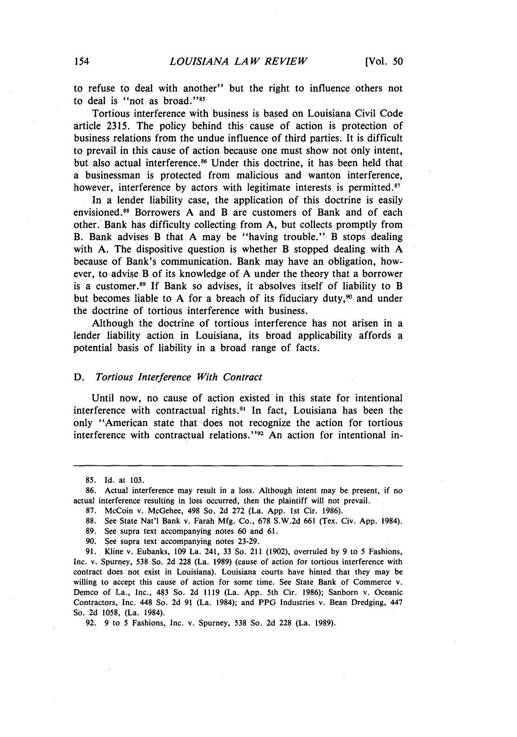to refuse to deal with another" but the right to influence others not to deal is "not as broad."<sup>85</sup>

Tortious interference with business is based on Louisiana Civil Code article 2315. The policy behind this cause of action is protection of business relations from the undue influence of third parties. It is difficult to prevail in this cause of action because one must show not only intent, but also actual interference.<sup>86</sup> Under this doctrine, it has been held that a businessman is protected from malicious and wanton interference, however, interference by actors with legitimate interests is permitted.<sup>87</sup>

In a lender liability case, the application of this doctrine is easily envisioned.<sup>88</sup> Borrowers A and B are customers of Bank and of each other. Bank has difficulty collecting from A, but collects promptly from B. Bank advises B that A may be "having trouble." B stops dealing with A. The dispositive question is whether B stopped dealing with A because of Bank's communication. Bank may have an obligation, however, to advise B of its knowledge of A under the theory that a borrower is a customer.<sup>89</sup> If Bank so advises, it absolves itself of liability to B but becomes liable to A for a breach of its fiduciary duty,<sup>90</sup> and under the doctrine of tortious interference with business.

Although the doctrine of tortious interference has not arisen in a lender liability action in Louisiana, its broad applicability affords a potential basis of liability in a broad range of facts.

#### *D. Tortious Interference With Contract*

Until now, no cause of action existed in this state for intentional interference with contractual rights.<sup>91</sup> In fact, Louisiana has been the only "American state that does not recognize the action for tortious interference with contractual relations. **"92** An action for intentional in-

<sup>85.</sup> Id. at 103.

<sup>86.</sup> Actual interference may result in a loss. Although intent may be present, if no actual interference resulting in loss occurred, then the plaintiff will not prevail.

<sup>87.</sup> McCoin v. McGehee, 498 So. 2d 272 (La. App. 1st Cir. 1986).

<sup>88.</sup> See State Nat'l Bank v. Farah Mfg. Co., 678 S.W.2d 661 (Tex. Civ. App. 1984).

<sup>89.</sup> See supra text accompanying notes 60 and 61.

<sup>90.</sup> See supra text accompanying notes 23-29.

<sup>91.</sup> Kline v. Eubanks, 109 La. 241, 33 So. 211 (1902), overruled by 9 to 5 Fashions, Inc. v. Spurney, 538 So. 2d 228 (La. 1989) (cause of action for tortious interference with contract does not exist in Louisiana). Louisiana courts have hinted that they may be willing to accept this cause of action for some time. See State Bank of Commerce v. Demco of La., Inc., 483 So. 2d 1119 (La. App. 5th Cir. 1986); Sanborn v. Oceanic Contractors, Inc. 448 So. 2d 91 (La. 1984); and PPG Industries v. Bean Dredging, 447 So. 2d 1058, (La. 1984).

<sup>92. 9</sup> to 5 Fashions, Inc. **v.** Spurney, 538 So. 2d 228 (La. 1989).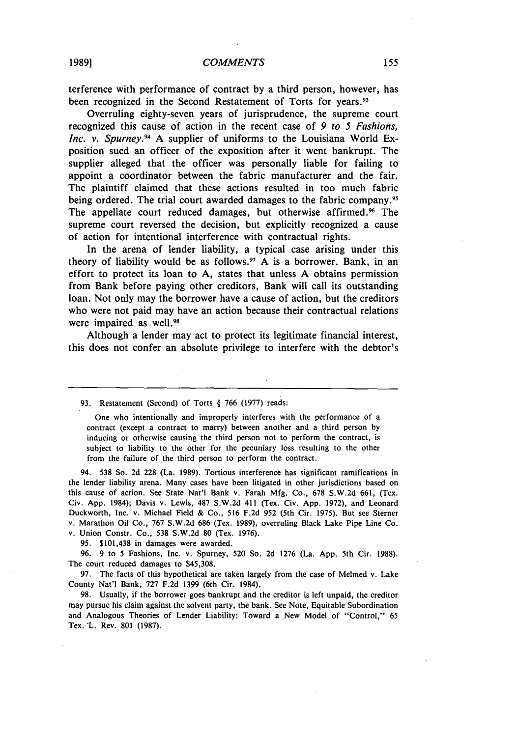terference with performance of contract by a third person, however, has been recognized in the Second Restatement of Torts for years.<sup>93</sup>

Overruling eighty-seven years of jurisprudence, the supreme court recognized this cause of action in the recent case of *9 to 5 Fashions, Inc. v. Spurney.94* A supplier of uniforms to the Louisiana World Exposition sued an officer of the exposition after it went bankrupt. The supplier alleged that the officer was personally liable for failing to appoint a coordinator between the fabric manufacturer and the fair. The plaintiff claimed that these actions resulted in too much fabric being ordered. The trial court awarded damages to the fabric company.<sup>95</sup> The appellate court reduced damages, but otherwise affirmed.<sup>96</sup> The supreme court reversed the decision, but explicitly recognized a cause of action for intentional interference with contractual rights.

In the arena of lender liability, a typical case arising under this theory of liability would be as follows.<sup>97</sup> A is a borrower. Bank, in an effort to protect its loan to A, states that unless A obtains permission from Bank before paying other creditors, Bank will call its outstanding loan. Not only may the borrower have a cause of action, but the creditors who were not paid may have an action because their contractual relations were impaired as well.<sup>98</sup>

Although a lender may act to protect its legitimate financial interest, this does not confer an absolute privilege to interfere with the debtor's

93. Restatement (Second) of Torts § 766 (1977) reads:

One who intentionally and improperly interferes with the performance of a contract (except a contract to marry) between another and a third person by inducing or otherwise causing the third person not to perform the contract, is subject to liability to the other for the pecuniary loss resulting to the other from the failure of the third person to perform the contract.

94. 538 So. 2d 228 (La. 1989). Tortious interference has significant ramifications in the lender liability arena. Many cases have been litigated in other jurisdictions based on this cause of action. See State Nat'l Bank v. Farah Mfg. Co., 678 S.W.2d 661, (Tex. Civ. App. 1984); Davis v. Lewis, 487 S.W.2d 411 (Tex. Civ. App. 1972), and Leonard Duckworth, Inc. v. Michael Field & Co., 516 F.2d 952 (5th Cir. 1975). But see Sterner v. Marathon Oil Co., 767 S.W.2d 686 (Tex. 1989), overruling Black Lake Pipe Line Co.

v. Union Constr. Co., 538 S.W.2d 80 (Tex. 1976).

95. \$101,438 in damages were awarded.

96. 9 to 5 Fashions, Inc. v. Spurney, 520 So. 2d 1276 (La. App. 5th Cir. 1988). The court reduced damages to \$45,308.

97. The facts of this hypothetical are taken largely from the case of Melmed v. Lake County Nat'l Bank, 727 F.2d 1399 (6th Cir. 1984).

98. Usually, if the borrower goes bankrupt and the creditor is left unpaid, the creditor may pursue his claim against the solvent party, the bank. See Note, Equitable Subordination and Analogous Theories of Lender Liability: Toward a New Model of "Control," 65 Tex. 'L. Rev. 801 (1987).